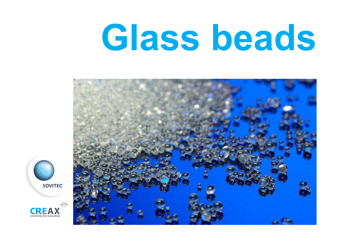# Glass beads



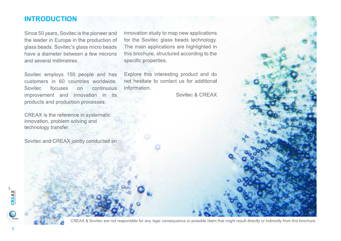## **INTRODUCTION**

Since 50 years, Sovitec is the pioneer and the leader in Europe in the production of glass beads. Sovitec's glass micro beads have a diameter between a few microns and several millimetres.

Sovitec employs 150 people and has customers in 60 countries worldwide. Sovitec focuses continuous  $n<sub>on</sub>$ improvement and innovation in its products and production processes.

CREAX is the reference in systematic innovation, problem solving and technology transfer.

Sovitec and CREAX jointly conducted an

innovation study to map new applications for the Sovitec glass beads technology. The main applications are highlighted in this brochure, structured according to the specific properties.

Explore this interesting product and do not hesitate to contact us for additional information.

Sovitec & CREAX



CREAX & Sovitec are not responsible for any legal consequence or possible claim that might result directly or indirectly from this brochure.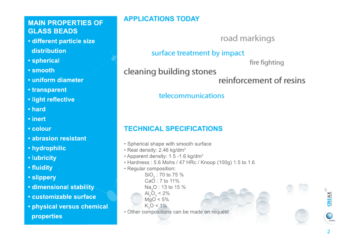## **MAIN PROPERTIES OF GLASS BEADS**

- · different particle size distribution
- · spherical
- smooth
- · uniform diameter
- transparent
- · light reflective
- hard
- inert
- colour
- · abrasion resistant
- hydrophilic
- lubricity
- fluidity
- · slippery
- · dimensional stability
- customizable surface
- physical versus chemical properties

## **APPLICATIONS TODAY**

road markings

## surface treatment by impact

fire fighting

 $CREAX$ 

 $\overline{\mathcal{L}}$ 

## cleaning building stones

reinforcement of resins

## telecommunications

## **TECHNICAL SPECIFICATIONS**

- Spherical shape with smooth surface
- Real density: 2.46 kg/dm<sup>3</sup>
- Apparent density: 1.5 -1.6 kg/dm<sup>3</sup>
- Hardness: 5.6 Mohs / 47 HRc / Knoop (100g) 1.5 to 1.6
- Regular composition:
	- SiO<sub>2</sub>: 70 to 75 %  $CaO:7$  to 11% Na<sub>2</sub>O: 13 to 15 %
	- Al<sub>2</sub>O<sub>3</sub> <  $2\%$
	- $MqO < 5%$  $K_0$ O < 1%
	-
- Other compositions can be made on request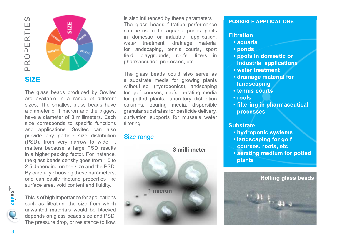

The glass beads produced by Sovitec are available in a range of different sizes. The smallest glass beads have a diameter of 1 micron and the biggest have a diameter of 3 millimeters. Each size corresponds to specific functions and applications. Sovitec can also provide any particle size distribution (PSD), from very narrow to wide. It matters because a large PSD results in a higher packing factor. For instance, the glass beads density goes from 1.5 to 2.5 depending on the size and the PSD. By carefully choosing these parameters, one can easily finetune properties like surface area, void content and fluidity.

 $\bigcirc$  soving

This is of high importance for applications such as filtration: the size from which unwanted materials would be blocked depends on glass beads size and PSD. The pressure drop, or resistance to flow,

is also influenced by these parameters. The glass beads filtration performance can be useful for aquaria, ponds, pools in domestic or industrial application, water treatment, drainage material for landscaping, tennis courts, sport field, playgrounds, roofs, filters in pharmaceutical processes, etc...

The glass beads could also serve as a substrate media for growing plants without soil (hydroponics), landscaping for golf courses, roofs, aerating media for potted plants, laboratory distillation columns, pouring media, dispersible granular substrates for pesticide delivery, cultivation supports for mussels water filtering.

#### **Size range**



#### **POSSIBLE APPLICATIONS**

#### **Filtration**

- · aquaria
- ponds
- · pools in domestic or industrial applications
- water treatment
- drainage material for landscaping
- tennis courts
- $\cdot$  roofs
- filtering in pharmaceutical **processes**

#### **Substrate**

- hydroponic systems
- · landscaping for golf
- courses, roofs, etc
- aerating medium for potted plants

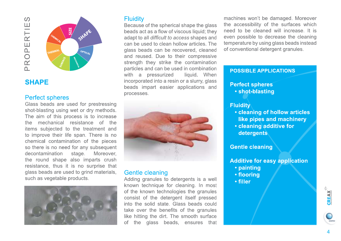## $\Omega$ PROPERTIE



## **SHAPE**

#### **Perfect spheres**

Glass beads are used for prestressing shot-blasting using wet or dry methods. The aim of this process is to increase the mechanical resistance of the items subjected to the treatment and to improve their life span. There is no chemical contamination of the pieces so there is no need for any subsequent decontamination stage. Moreover. the round shape also imparts crush resistance, thus it is no surprise that glass beads are used to grind materials, such as vegetable products.



#### **Fluidity**

Because of the spherical shape the glass beads act as a flow of viscous liquid; they adapt to all difficult to access shapes and can be used to clean hollow articles. The glass beads can be recovered, cleaned and reused. Due to their compressive strength they strike the contamination particles and can be used in combination with a pressurized liquid. When incorporated into a resin or a slurry, glass beads impart easier applications and processes.



#### Gentle cleaning

Adding granules to detergents is a well known technique for cleaning. In most of the known technologies the granules consist of the detergent itself pressed into the solid state. Glass beads could take over the benefits of the granules like hitting the dirt. The smooth surface the glass beads, ensures that of

machines won't be damaged. Moreover the accessibility of the surfaces which need to be cleaned will increase. It is even possible to decrease the cleaning temperature by using glass beads instead of conventional detergent granules.

#### **POSSIBLE APPLICATIONS**

#### **Perfect spheres** • shot-blasting

#### **Fluidity**

- cleaning of hollow articles like pipes and machinery
- cleaning additive for detergents

#### **Gentle cleaning**

- **Additive for easy application** 
	- painting
	- · flooring
	- filler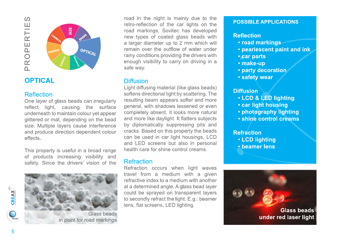



## **OPTICAL**

#### **Reflection**

One layer of glass beads can irregularly reflect light, causing the surface underneath to maintain colour yet appear glittered or mat, depending on the bead size. Multiple layers cause interference and produce direction dependent colour effects.

This property is useful in a broad range of products increasing visibility and safety. Since the drivers' vision of the



Glass beads in paint for road markings

road in the night is mainly due to the retro-reflection of the car lights on the road markings, Sovitec has developed new types of coated glass beads with a larger diameter up to 2 mm which will remain over the outflow of water under rainy conditions providing the drivers with enough visibility to carry on driving in a safe way.

#### **Diffusion**

Light diffusing material (like glass beads) softens directional light by scattering. The resulting beam appears softer and more general, with shadows lessened or even completely absent. It looks more natural and more like daylight. It flatters subjects by diplomatically suppressing pits and cracks. Based on this property the beads can be used in car light housings, LCD and LED screens but also in personal health care for shine control creams.

#### **Refraction**

Refraction occurs when light waves travel from a medium with a given refractive index to a medium with another at a determined angle. A glass bead layer could be sprayed on transparent layers to secondly refract the light. E.g.: beamer lens, flat screens, LED lighting.

#### **POSSIBLE APPLICATIONS**

#### **Reflection**

- road markings
- pearlescent paint and ink
- car parts
- make-up
- party decoration
- · safety wear

#### **Diffusion**

- LCD & LED lighting
- car light housing
- photography lighting
- shine control creams

#### **Refraction . LCD lighting**

· beamer lens



M)

SOVITED

 $CREAX$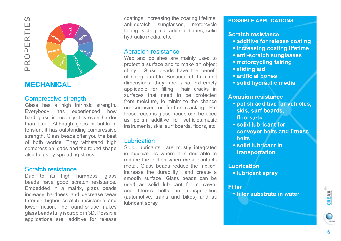$\Omega$ PROPERTIE



## **MECHANICAL**

#### **Compressive strength**

Glass has a high intrinsic strenath. Everybody has experienced how hard glass is, usually it is even harder than steel. Although glass is brittle in tension, it has outstanding compressive strength. Glass beads offer you the best of both worlds. They withstand high compression loads and the round shape also helps by spreading stress.

#### Scratch resistance

Due to its high hardness, glass beads have good scratch resistance. Embedded in a matrix, glass beads increase hardness and decrease wear through higher scratch resistance and lower friction. The round shape makes glass beads fully isotropic in 3D. Possible applications are: additive for release coatings, increasing the coating lifetime, anti-scratch sunglasses, motorcycle fairing, sliding aid, artificial bones, solid hydraulic media, etc.

#### Abrasion resistance

Wax and polishes are mainly used to protect a surface and to make an object shiny. Glass beads have the benefit of being durable. Because of the small dimensions they are also extremely applicable for filling hair cracks in surfaces that need to be protected from moisture, to minimize the chance on corrosion or further cracking. For these reasons glass beads can be used as polish additive for vehicles, music instruments, skis, surf boards, floors, etc.

#### Lubrication

Solid lubricants are mostly integrated in applications where it is desirable to reduce the friction when metal contacts metal. Glass beads reduce the friction, increase the durability and create a smooth surface. Glass beads can be used as solid lubricant for conveyor and fitness belts, in transportation (automotive, trains and bikes) and as lubricant spray.

#### **POSSIBLE APPLICATIONS**

#### **Scratch resistance**

- · additive for release coating
- . increasing coating lifetime
- · anti-scratch sunglasses
- motorcycling fairing
- · sliding aid
- · artificial bones
- · solid hydraulic media

#### **Abrasion resistance**

- · polish additive for vehicles, skis, surf boards, floors, etc.
- . solid lubricant for conveyor belts and fitness **belts**
- solid lubricant in transportation

#### **Lubrication**

• lubricant spray

#### **Filler** • filler substrate in water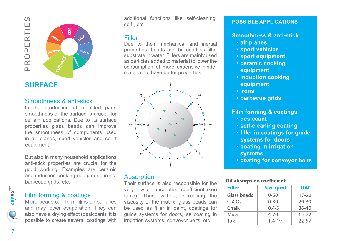

## **SURFACE**

#### Smoothness & anti-stick

In the production of moulded parts smoothness of the surface is crucial for certain applications. Due to its surface properties glass beads can improve the smoothness of components used in air planes, sport vehicles and sport equipment.

But also in many household applications anti-stick properties are crucial for the good working. Examples are ceramic and induction cooking equipment, irons, barbecue grids, etc.

#### Film forming & coatings

Micro beads can form films on surfaces and may lower evaporation. They can also have a drying effect (desiccant). It is possible to create several coatings with additional functions like self-cleaning, self-, etc.

## **Filler**

Due to their mechanical and inertial properties, beads can be used as filler substrate in water. Fillers are mainly used as particles added to material to lower the consumption of more expensive binder material, to have better properties.



#### **Absorption**

Their surface is also responsible for the very low oil absorption coefficient (see table). Thus, without increasing the viscosity of the matrix, glass beads can be used as filler in paint, coatings for quide systems for doors, as coating in irrigation systems, conveyor belts, etc.

#### **POSSIBLE APPLICATIONS**

#### Smoothness & anti-stick

- · air planes
- · sport vehicles
- sport equipment
- ceramic cooking equipment
- induction cooking equipment
- irons
- barbecue grids

#### **Film forming & coatings**

- · desiccant
- self-cleaning coating
- . filler in coatings for guide systems for doors
- coating in irrigation systems
- coating for conveyor belts

#### **Oil absorption coefficient**

| <b>Filler</b>     | Size (µm)  | <b>OAC</b> |
|-------------------|------------|------------|
| Glass beads       | $0 - 50$   | $17 - 20$  |
| CaCO <sub>3</sub> | $0 - 30$   | $20 - 30$  |
| Chalk             | $0.4 - 5$  | $36 - 40$  |
| Mica              | $4 - 70$   | $65 - 72$  |
| <b>Talc</b>       | $1.4 - 19$ | $22 - 57$  |

 $\bigodot$ <sub>SOVITEC</sub>

 $C R E A X$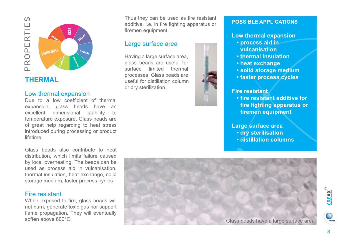

## **THERMAL**

#### Low thermal expansion

Due to a low coefficient of thermal expansion, glass beads have an excellent dimensional stability to temperature exposure. Glass beads are of great help regarding to heat stress introduced during processing or product lifetime

Glass beads also contribute to heat distribution, which limits failure caused by local overheating. The beads can be used as process aid in vulcanisation, thermal insulation, heat exchange, solid storage medium, faster process cycles.

#### Fire resistant

When exposed to fire, glass beads will not burn, generate toxic gas nor support flame propagation. They will eventually soften above 600°C.

Thus they can be used as fire resistant additive, i.e. in fire fighting apparatus or firemen equipment.

#### Large surface area

Having a large surface area, glass beads are useful for surface limited thermal processes. Glass beads are useful for distillation column or dry sterilization.



#### **POSSIBLE APPLICATIONS**

#### Low thermal expansion

- · process aid in vulcanisation
- thermal insulation
- heat exchange
- · solid storage medium
- **faster process cycles**

#### **Fire resistant**

• fire resistant additive for fire fighting apparatus or firemen equipment

Large surface area · dry sterilisation

· distillation columns

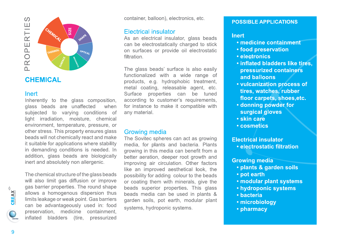

## **CHEMICAL**

#### Inert

Inherently to the glass composition, glass beads are unaffected when subjected to varying conditions of light irradiation, moisture, chemical environment, temperature, pressure, or other stress. This property ensures glass beads will not chemically react and make it suitable for applications where stability in demanding conditions is needed. In addition, glass beads are biologically inert and absolutely non allergenic.

The chemical structure of the glass beads will also limit gas diffusion or improve gas barrier properties. The round shape allows a homogenous dispersion thus limits leakage or weak point. Gas barriers can be advantageously used in: food preservation, medicine containment, inflated bladders (tire, pressurized container, balloon), electronics, etc.

#### **Electrical insulator**

As an electrical insulator, glass beads can be electrostatically charged to stick on surfaces or provide oil electrostatic filtration.

The glass beads' surface is also easily functionalized with a wide range of products, e.g. hydrophobic treatment, metal coating, releasable agent, etc. Surface properties can be tuned according to customer's requirements. for instance to make it compatible with any material.

#### **Growing media**

The Sovitec spheres can act as growing media, for plants and bacteria. Plants growing in this media can benefit from a better aeration, deeper root growth and improving air circulation. Other factors like an improved aesthetical look, the possibility for adding colour to the beads or coating them with minerals, give the beads superior properties. This glass beads media can be used in plants & garden soils, pot earth, modular plant systems, hydroponic systems.

#### **POSSIBLE APPLICATIONS**

#### **Inert**

- medicine containment
- food preservation
- · electronics
- . inflated bladders like tires. pressurized containers and balloons
- vulcanization process of tires. watches. rubber floor carpets, shoes, etc.
- · donning powder for surgical gloves
- · skin care
- cosmetics

#### **Electrical insulator**

• electrostatic filtration

#### **Growing media**

- · plants & garden soils
- pot earth
- · modular plant systems
- hydroponic systems
- · bacteria
- microbiology
- pharmacy

**SOVITEC** 

 $\begin{picture}(180,170)(-10,0) \put(0,0){\line(1,0){15}} \put(10,0){\line(1,0){15}} \put(10,0){\line(1,0){15}} \put(10,0){\line(1,0){15}} \put(10,0){\line(1,0){15}} \put(10,0){\line(1,0){15}} \put(10,0){\line(1,0){15}} \put(10,0){\line(1,0){15}} \put(10,0){\line(1,0){15}} \put(10,0){\line(1,0){15}} \put(10,0){\line(1,0){15}} \put(1$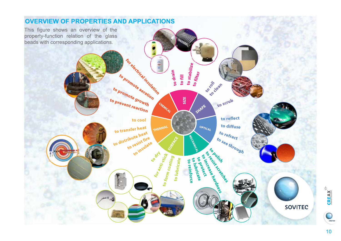